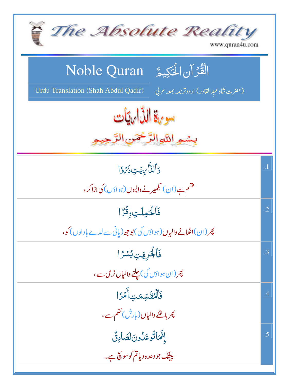| The Absolute Reality<br>www.quran4u.com                                                                                  |                 |
|--------------------------------------------------------------------------------------------------------------------------|-----------------|
| الْقُرْآنِ الْحَكِيمُ ِ Noble Quran<br>Urdu Translation (Shah Abdul Qadir)<br>(حضرت شاہ عبد القادر) اردوتر جمہ بمعہ عربی |                 |
| سورة الذاريات<br>بسمه اللوالرَّحْمَنِ الرَّحِي                                                                           |                 |
| وَٱلنَّاْ بِهَتِ ذَيْرَةِ ا                                                                                              | $\overline{.1}$ |
| فشم ہے(ان) کبھیر نے والیوں(ہواؤں) کی اڑاکر،                                                                              |                 |
| فَأَلْحَمِلَتِ وَقُرًا                                                                                                   | $\cdot$ .2      |
| چر (ان)اٹھانے والیاں (ہواؤں کی) بوجھ (یانی سے لدے بادلوں) کو،                                                            |                 |
| فَأَلْجَرِيَتِ يُسُرًا                                                                                                   | .3              |
| پھر (ان ہواؤں کی) چلنے والیاں <b>نری</b> سے،                                                                             |                 |
| فَٱلۡعُقَسِّمَتِ أَمۡرَ ا                                                                                                | .4              |
| پھر با <u> نٹنے</u> والیاں(بارش)حکم سے،                                                                                  |                 |
| إِتَّمَاتُوعَلُونَ لَصَادِقٌّ                                                                                            | .5              |
| بیشک جووعدہ دیاتم کوسون <del>چ</del> ہے۔                                                                                 |                 |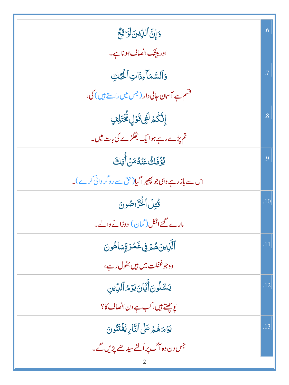| 5 إِنَّ ٱلدِّينَ لَوَاقِعٌ                               | .6  |
|----------------------------------------------------------|-----|
| اور بیٹک انصاف ہوناہے۔                                   |     |
| وَٱلسَّمَاءِذَاتِٱلْحَٰلِّ                               | .7  |
| قشم ہے آسان جالی دار ( <sup>جس</sup> میں راستے ہیں ) کی، |     |
| إِنَّكُمۡ لَفِیۡ قَوۡلٍ مُّۡتَٰٓتِلِفٍ                   | .8  |
| تم پڑے رہے ہوا یک جھگڑے کی بات میں۔                      |     |
| <u>يُؤْفَاكُ عَنْ</u> هُمَنُ أُفِكَ                      | .9  |
| اس سے بازرہے وہی جو پھیر اگیا(حق سے روگر دانی کرے)۔      |     |
| قُتِلَ الْخَزَّاصُونَ                                    | .10 |
| مارے گئے اٹکل(گمان) دوڑانے والے۔                         |     |
| ٱلَّٰٓنِينَ هُمۡ فِى غَمۡرَةٍسَاهُونَ                    | .11 |
| وہ جوغفلت میں ہیں بھ <sup>و</sup> ل رہے ،                |     |
| يَشَلُونَ أَيَّانَ يَوْمُ ٱلدِّينِ                       | .12 |
| یوچھتے ہیں، کب ہے دن انصاف کا؟                           |     |
| يَؤْمَهُمُ عَلَى التَّارِيُفَتَنُونَ                     | .13 |
| جس دن وہ آگ پر اُلٹے سیدھے پڑیں گے۔                      |     |
|                                                          |     |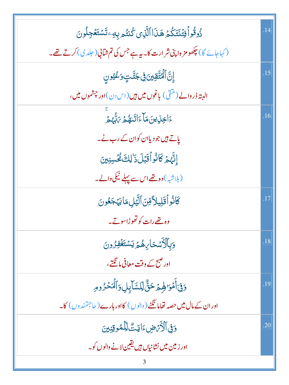| ذُوقُواً فِتُنتَكُمُ هَذَا ٱلَّذِى كُنتُم بِهِۦ تَسۡتَغۡجِلُونَ                     | .14 |
|-------------------------------------------------------------------------------------|-----|
| (کہاجائے گا) چکھو <b>مز ہ اپنی شر ارت کا۔ یہ ہے</b> جس کی تم شانی( حلد ی) کرتے تھے۔ |     |
| ٳۣڹ <i>ٞ</i> ٲڷٙڡ۠ؾ۠ٙۊؚؠڹ؋ۣڿڵٙؾٟۅؘۼؽؚۅڹ                                             | .15 |
| البتہ ڈر دالے (منقی) باغوں میں ہیں (اس دن)اور چشموں میں،                            |     |
|                                                                                     | .16 |
| یاتے ہیں جو دیاان کوان کے رب نے۔                                                    |     |
| إِنَّهُمُ كَانُواْقَبْلَ ذَٰلِكَ كُحُسِنِينَ                                        |     |
| (بلاشبہ)وہ تھےاس سے پہلے نیکی دالے۔                                                 |     |
| كَانُواْقَلِيلاَّقِنَٱلَّيَٰلِ مَايَهَجَعُونَ                                       | .17 |
| وہ تھے رات کو تھوڑاسوتے۔                                                            |     |
| <u>وَبِٱلْأَسۡ</u> حَارِ،هُمۡ يَسۡتَغۡفِرُونَ                                       | .18 |
| اور صبح کے وقت معافی ما ٹکتے،                                                       |     |
| وَفِىٓأَمُوَالِهِمۡ حَقُّ لِلسَّآبِلِ وَٱلۡمَحۡرُومِ                                | .19 |
| اور ان کے مال میں حصہ تھاما تگنے ( والوں ) کااور ہارے ( جاجتمند وں ) کا۔            |     |
| دَفِى ٱلْأَيْهِضِ ءَايَتَ لِلْمُوقِنِينَ                                            | .20 |
| اور زمین میں نشانیاں ہیں یقین لانے والوں کو۔                                        |     |
|                                                                                     |     |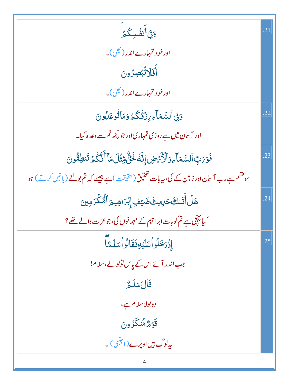| <u>و</u> ؘأنفُسِكُم                                                                      | $\overline{2}$ |
|------------------------------------------------------------------------------------------|----------------|
| اورخو د تہ <sub>ی</sub> ارےاندر( بھی)۔                                                   |                |
| أَفَلَاتُبْصِرُونَ                                                                       |                |
| اورخو د تمہارےاندر( <u>بھی</u> )۔                                                        |                |
| <u>وَفِى</u> ٱلسَّمَاءِينْ تُكْمُر وَمَاتُوعَلُونَ                                       | .22            |
| اور آسان میں ہے روزی تمہاری اور جو کچھ تم سے وعدہ کیا۔                                   |                |
| فَوَىَبِ ٱلسَّمَاءِوَٱلْأَرَّضِ إِنَّهُ لَحَنُّ مِّثْلَمَاۤ أَنَّكُمۡ تَنطِقُونَ         | .23            |
| سوفشم ہے رب آسان اور زمین کے کی، بیربات تحقیق(حقیقت) ہے جیسے کہ تم بولتے (باتیں کرتے) ہو |                |
| ۿڶٙٲؖ <i>ڐٙ</i> ٮٚڬٙڂٳۑٮؿ۠ڞؘؿڣٳ۪ڹۘٛڗڡڡۣؠ <u>ۄٙ</u> ٲڵٙ <i>ٞ۠ػ</i> ۠ۮٙۄڛٙ                 | .24            |
| کیا پہنچی ہے تم کوبات ابراہیم کے مہمانوں کی،جوعزت والے تھے؟                              |                |
| إِزْدَخَلُواً عَلَيْهِ فَقَالُواً سَلَمَّاً                                              | .25            |
| جب اندر آئے اس کے پاس توبولے، سلام!                                                      |                |
| قَالَسَلَمُّ                                                                             |                |
| وه بولاسلام ہے،                                                                          |                |
| قۇۋەڭنىڭزون                                                                              |                |
| ىيەلوگ <i>ہيں</i> اوپرے(اجنبی) ۔                                                         |                |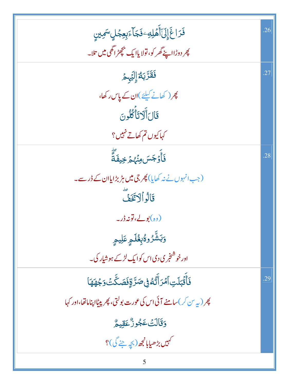| فَرَاغَ إِلَىٰٓ أَهۡلِهِۦ فَجَآءَبِعِجۡلٍ سَمِينٍ                                        | .26 |
|------------------------------------------------------------------------------------------|-----|
| پھر دوڑااپنے گھر کو، تولا یاایک پچھڑ اگھی میں تلا۔                                       |     |
| فَقَرَّبَهُ إِلَيْهِمْ                                                                   | .27 |
| پھر( کھانے کیلئے)ان کے پاس رکھا،                                                         |     |
| قَالَ أَلَاتَأَكْلُونَ                                                                   |     |
| كہاكيوں تم كھاتے نہيں؟                                                                   |     |
| ۘ<br>ڣؘٲٛٙۏ <i>ٙ</i> ڿؘۺ؋ڹؙؠ۠ۿ؋ڿؠڣؘ؋ؖٞ                                                   | .28 |
| (جب انہوں نے نہ کھایا) پھر جی <b>میں ہڑ بڑایا</b> ان کے ڈر سے۔                           |     |
| قَالُواْلَاتَخَفَّ                                                                       |     |
| (وہ)بولے،تونہ ڈر۔                                                                        |     |
| <mark>وَبَشَّرُوگُبِغُلَ</mark> مٍ عَلِيمٍ                                               |     |
| اور خوشخ <sub>ر</sub> ی دی <sub>اس ک</sub> وایک لڑکے ہوش <u>ا</u> ر کی۔                  |     |
| ڬ <b>ٲؘؘٛٞڐ</b> ٙڹڶؾؚٱڡۡۯٲٚۘؾ۠ڡ۠ڧۣڞڗٞۊؚٚڡؘڞػؖٮٞٛۏ <sup>ڿ</sup> ۿۿؘٳ                      | .29 |
| پھر (بہ <sup>س ک</sup> ر) سامنے آئی اس کی عورت بولتی، پھر پی <u>ٹ</u> ااپناماتھا،اور کہا |     |
| <b>وَقَالَتْ عَجُوزٌ عَقِيمٌ</b>                                                         |     |
| <i>کہیں بڑھی</i> ابانچھ (بچہ جنے گی)؟                                                    |     |
| 5                                                                                        |     |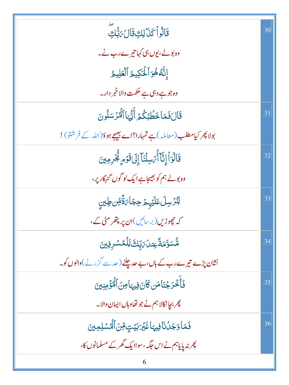| قَالُواۡ كَنَالِكِقَالَ مَبَّكِ                                          | .30 |
|--------------------------------------------------------------------------|-----|
| وہ بولے، یوں ہی کہا تیرے رب نے۔                                          |     |
| إِنَّهُ هُوَ ٱلْحَكِيمُ ٱلْعَلِيمُ                                       |     |
| وہ جو ہے وہی ہے حکمت والا خمر دار۔                                       |     |
| قَالَ فَمَا خَطَبُكُمْ أَيُّهَا ٱلْمُرْسَلُونَ                           | .31 |
| بولا پھر کیامطلب (معاملہ)ہے تمہارا؟اے بیجے ہو دَ(اللہ کے فرشتو)!         |     |
| قَالُوَاْ إِنَّآ أُمُّسِلۡنَآ إِلَىٰقَوۡمِ لِخُرِمِینَ                   | .32 |
| وہ بولے ہم کو بھیجاہے ایک لو گوں گنہگار پر،                              |     |
| ڶڹ۠ۯڛڶ <i>ۘ</i> ٙٵؘؿ <sub>ڸ</sub> ؽٙ <i>؋</i> ڿٵ <i>؆</i> ۃٞڡؚۜٚڽڟۣؾڹۣ   | .33 |
| کہ چھوڑیں(بر سائیں)ان پر پتھر مٹی کے،                                    |     |
| ۿ۠ۺۊ <sub>ۜ</sub> ٙڡؘ <i>ڐؘؖ</i> ۼۣڹڸؘ <i>؆۪</i> ڸۨڂ <i>ٳڶ</i> ڷڞۺڔڣۣڹۣؽ | .34 |
| نشان پڑے تیرے رب کے ہاں، بے حدیلنے (حد سے گزرنے)والوں کو۔                |     |
| فَأَخْرَجْنَاهَن كَانَ فِيهَامِنَ ٱلْمُؤْمِنِينَ                         | .35 |
| پھر بچانکالا ہم نے جو تھاوہاں ایمان والا۔                                |     |
| فَمَاوَجَلُنَافِيهَاغَيْرَبَيْتِ وِّنَ ٱلْمُسْلِمِينَ                    | .36 |
| پھر نہ پایاہم نے اس جگہ، سواایک گھر کے مسلمانوں کا،                      |     |
| 6                                                                        |     |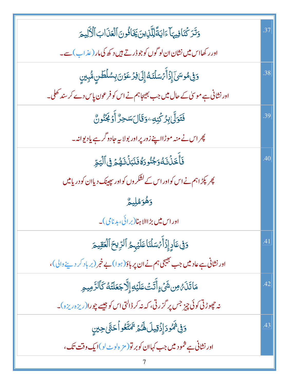| وَتَرَكْنَافِيهَا ءَايَةً لِلَّذِينَ يَغَافُونَ ٱلْعَذَابَ ٱلْأَلِيمَ           | .37 |
|---------------------------------------------------------------------------------|-----|
| اور رکھااس میں نشان ان لو گوں کو جو ڈر تے ہیں د کھ کی مار (عذاب) سے۔            |     |
| <u>ۅٙڣۣ</u> ۿۅۺؽٙٳؚۮؘٲٛٙ <i>ؠٙ</i> ۫ۺڷؿٙۘڡ۠ٳ۪ڶؽ؋ؚۯۼۅ۫ڽؘڹؚۺڷڟڹۣۿ۠ۑؚڹڹۣ           | .38 |
| اور نشانی ہے موسیٰ کے حال میں جب بھیجاہم نے اس کو فرعون پاس دے کر سند تھلی۔     |     |
| فَتَوَلَّىٰ بِرُكْنِهِ وَقَالَ سَجِرٌّ أَوۡ لَجَنُونَّ                          | .39 |
| پھر اس نے منہ موڑااپنے زور پر اور بولا ہہ جادو گرے یادیوانہ۔                    |     |
| فَأَخَلَٰٓ لَهُ وَجُنُودَهُ فَنَبَلۡ لَلۡهُمۡ فِى ٱلۡيَمِّرِ                    | .40 |
| پھر پکڑ اہم نے اس کواور اس کے لشکر وں کواور چھپنک دیاان کو دریامیں              |     |
| وَهُوَمُلِيمٌ                                                                   |     |
| اور اس میں بڑاالاہنا(برائی،بدنامی)۔                                             |     |
| دَفِى عَادِ إِذَآَ مَسَلَنَا عَلَيۡهِمُ ٱلرِّيحَ ٱلۡعَقِيمَ                     | .41 |
| اور نشانی ہے عادییں جب بھیجی ہم نے ان پر باؤ(ہوا) بے خبر (برباد کر دینے والی)،  |     |
| مَاتَنَىٌّ مِن شَيْءٍأَتَتُ عَلَيْهِ إِلَّا جَعَلَتُهُ كَٱلرَّمِيمِ             | .42 |
| نه جېوڑنی کوئی چیز جس پر گزرتی، که نه کر ڈالتی اس کو جیسے چورا(ریزہ ریزہ)۔      |     |
| دَفِى تَمُودَ إِذْقِيلَ لَهُمْ تَمَتَّعُواْ حَتَّىٰ حِينِ                       | .43 |
| اور نشانی ہے شمود میں جب کہاان کو بر تو( مز ہ <sup>ا</sup> و ٹ لو)ا یک وقت تک ، |     |
|                                                                                 |     |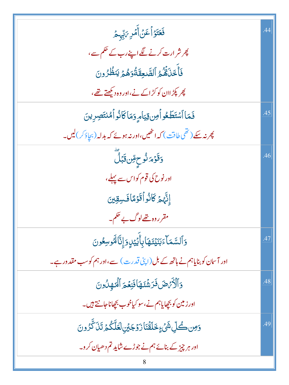| فَعَتَوۡاۡعَنۡ أَمۡرِ ﴾َلِّہِ مُّ                                           |     |
|-----------------------------------------------------------------------------|-----|
| پھر شر ارت کرنے لگے اپنے رب کے حکم سے ،                                     |     |
| فَأَخَلَهُمُ ٱلصَّعِقَةُوَهُمَّ يَنظُرُونَ                                  |     |
| پھر پکڑ اان کو کڑ ا <sub>کے نے</sub> ،اور وہ دیکھتے تھے،                    |     |
| فَمَا ٱسْتَطَعُواْمِن قِيَامِ وَمَاكَانُواْهُنتَصِرِينَ                     | .45 |
| پھر نہ سکے ( تھی طاقت ) کہ انٹھیں،اور نہ ہوئے کہ بدلہ (بچاؤ <i>کر</i> )لیں۔ |     |
| <mark>ۏٙڡ</mark> ؘۏٙ؞ <i>ٙۮۮ۠</i> ؚڂٟ <sub>ڰؚ</sub> ۨڽ؋ؾؘڸؖ                 | .46 |
| اور نوح کی قوم کواس سے پہلے،                                                |     |
| إِنَّهُمُ كَانُواۡقَوۡمَاۡفَسِقِینَ                                         |     |
| مقرروہ تھےلوگ بے حکم۔                                                       |     |
| وَٱلسَّمَآءَبَنَيۡ <i>تَ</i> هَابِأَيۡيَٰٓدِوَإِنَّالَهُوسِعُونَ            | .47 |
| اور آسان کو بنایاہم نے ہاتھ کے بل (اپنی قدرت) سے،اور ہم کوسب مقدور ہے۔      |     |
| وَٱلۡأَمۡضَ فَرَشۡتَهَاۢ فَنِعۡمَ ٱلۡنَهِلُونَ                              | .48 |
| اورزمین کو بچھاپاہم نے،سو کیاخوب بچھاناجانتے ہیں۔                           |     |
| <u>وَمِن ڪُ</u> لِّ شَيْءٍ خَلَقْنَارَوۡجَيۡنِ لَعَلَّكُمۡ تَنَ كَّرُونَ    | .49 |
| اور ہر چیز کے بنائے ہم نے جوڑے شاید تم دھیان کرو۔                           |     |
|                                                                             |     |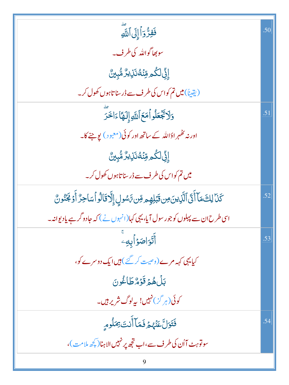| فَفِرُّدَاً إِلَى ٱللَّهِ                                                                           | .50 |
|-----------------------------------------------------------------------------------------------------|-----|
| سوبھاگواللہ کی طرف۔                                                                                 |     |
| ٳۣڹ۠ڶڴۄڡؚۨڹؙٙڡ۠ڹؘڸؽڒۘۺ۠ؠۣڽ۠                                                                         |     |
| (یقیناً)میں تم کواس کی طرف سے ڈرسنا تاہوں کھول کر۔                                                  |     |
| وَلَاتَجَعَلُواْمَعَ ٱللَّهِ إِلَهًا ءَاخَرَ                                                        | .51 |
| اور نہ ٹھُہر ادَاللّٰہ کے ساتھ اور کوئی(معبو ) یوجنے کا۔                                            |     |
| ٳۣڹۣ۠ڶػؙۄڡؚۨڹٙڐٛڹؘڶۣؠڒۘ۠ۿ۠ۑؚڹۣێٞ                                                                    |     |
| میں تم کواس کی طرف سے ڈرسنا تاہوں کھول کر۔                                                          |     |
| كَنَا لِكَ مَآ أَنَّى ٱلَّذِينَ مِن تَبۡلِهِم مِّن رَّسُولِ إِلَّا تَالُواۡ ٱسَاحِرٌ أَوۡ لَجَنُونٌ | .52 |
| اسی طرح ان سے پہلوں کو جو رسول آیا، یہی کہا(انہوں نے) کہ جادو گرہے یادیوانیہ۔                       |     |
| أَتَوَاصَوۡأَبِهِۦ                                                                                  | .53 |
| کیایہی کہہ مرے (وصیت کر گئے ) ہیں ایک دوسرے کو،                                                     |     |
| بَلْ هُمۡ قَوۡهُ طَاغُونَ                                                                           |     |
| کوئی(ہر گز)نہیں! بہاوگ شریر ہیں۔                                                                    |     |
| فَتَوَلَّ عَنْهُمْ فَمَا أَنتَ بِمَلُومِ                                                            | .54 |
| سولوّیٹ آاُن کی طرف سے،اب تجھ پر نہیں الاہنا(کچھ ملامت)،                                            |     |
|                                                                                                     |     |